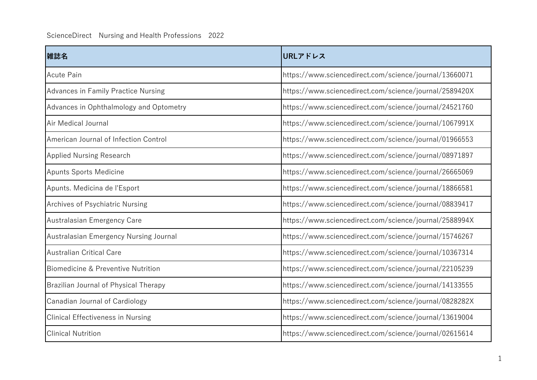| 雑誌名                                      | URLアドレス                                                |
|------------------------------------------|--------------------------------------------------------|
| <b>Acute Pain</b>                        | https://www.sciencedirect.com/science/journal/13660071 |
| Advances in Family Practice Nursing      | https://www.sciencedirect.com/science/journal/2589420X |
| Advances in Ophthalmology and Optometry  | https://www.sciencedirect.com/science/journal/24521760 |
| Air Medical Journal                      | https://www.sciencedirect.com/science/journal/1067991X |
| American Journal of Infection Control    | https://www.sciencedirect.com/science/journal/01966553 |
| <b>Applied Nursing Research</b>          | https://www.sciencedirect.com/science/journal/08971897 |
| <b>Apunts Sports Medicine</b>            | https://www.sciencedirect.com/science/journal/26665069 |
| Apunts. Medicina de l'Esport             | https://www.sciencedirect.com/science/journal/18866581 |
| Archives of Psychiatric Nursing          | https://www.sciencedirect.com/science/journal/08839417 |
| Australasian Emergency Care              | https://www.sciencedirect.com/science/journal/2588994X |
| Australasian Emergency Nursing Journal   | https://www.sciencedirect.com/science/journal/15746267 |
| <b>Australian Critical Care</b>          | https://www.sciencedirect.com/science/journal/10367314 |
| Biomedicine & Preventive Nutrition       | https://www.sciencedirect.com/science/journal/22105239 |
| Brazilian Journal of Physical Therapy    | https://www.sciencedirect.com/science/journal/14133555 |
| Canadian Journal of Cardiology           | https://www.sciencedirect.com/science/journal/0828282X |
| <b>Clinical Effectiveness in Nursing</b> | https://www.sciencedirect.com/science/journal/13619004 |
| <b>Clinical Nutrition</b>                | https://www.sciencedirect.com/science/journal/02615614 |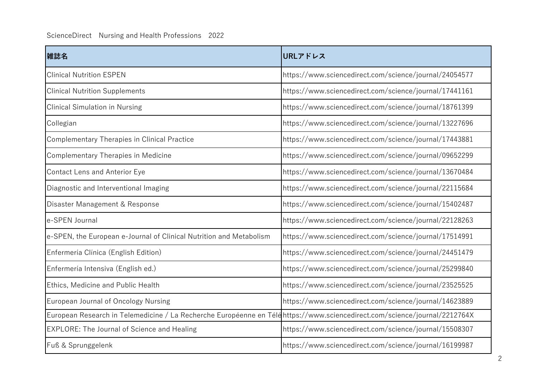| 雑誌名                                                                                                                       | URLアドレス                                                |
|---------------------------------------------------------------------------------------------------------------------------|--------------------------------------------------------|
| <b>Clinical Nutrition ESPEN</b>                                                                                           | https://www.sciencedirect.com/science/journal/24054577 |
| <b>Clinical Nutrition Supplements</b>                                                                                     | https://www.sciencedirect.com/science/journal/17441161 |
| <b>Clinical Simulation in Nursing</b>                                                                                     | https://www.sciencedirect.com/science/journal/18761399 |
| Collegian                                                                                                                 | https://www.sciencedirect.com/science/journal/13227696 |
| Complementary Therapies in Clinical Practice                                                                              | https://www.sciencedirect.com/science/journal/17443881 |
| Complementary Therapies in Medicine                                                                                       | https://www.sciencedirect.com/science/journal/09652299 |
| <b>Contact Lens and Anterior Eye</b>                                                                                      | https://www.sciencedirect.com/science/journal/13670484 |
| Diagnostic and Interventional Imaging                                                                                     | https://www.sciencedirect.com/science/journal/22115684 |
| Disaster Management & Response                                                                                            | https://www.sciencedirect.com/science/journal/15402487 |
| e-SPEN Journal                                                                                                            | https://www.sciencedirect.com/science/journal/22128263 |
| e-SPEN, the European e-Journal of Clinical Nutrition and Metabolism                                                       | https://www.sciencedirect.com/science/journal/17514991 |
| Enfermería Clínica (English Edition)                                                                                      | https://www.sciencedirect.com/science/journal/24451479 |
| Enfermería Intensiva (English ed.)                                                                                        | https://www.sciencedirect.com/science/journal/25299840 |
| Ethics, Medicine and Public Health                                                                                        | https://www.sciencedirect.com/science/journal/23525525 |
| European Journal of Oncology Nursing                                                                                      | https://www.sciencedirect.com/science/journal/14623889 |
| European Research in Telemedicine / La Recherche Européenne en Téléhttps://www.sciencedirect.com/science/journal/2212764X |                                                        |
| EXPLORE: The Journal of Science and Healing                                                                               | https://www.sciencedirect.com/science/journal/15508307 |
| Fuß & Sprunggelenk                                                                                                        | https://www.sciencedirect.com/science/journal/16199987 |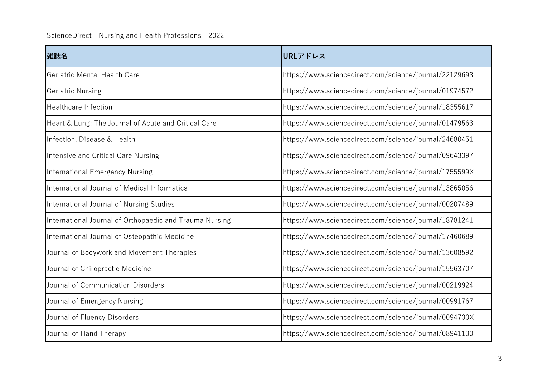## ScienceDirect Nursing and Health Professions 2022

| 雑誌名                                                     | URLアドレス                                                |
|---------------------------------------------------------|--------------------------------------------------------|
| Geriatric Mental Health Care                            | https://www.sciencedirect.com/science/journal/22129693 |
| <b>Geriatric Nursing</b>                                | https://www.sciencedirect.com/science/journal/01974572 |
| <b>Healthcare Infection</b>                             | https://www.sciencedirect.com/science/journal/18355617 |
| Heart & Lung: The Journal of Acute and Critical Care    | https://www.sciencedirect.com/science/journal/01479563 |
| Infection, Disease & Health                             | https://www.sciencedirect.com/science/journal/24680451 |
| Intensive and Critical Care Nursing                     | https://www.sciencedirect.com/science/journal/09643397 |
| <b>International Emergency Nursing</b>                  | https://www.sciencedirect.com/science/journal/1755599X |
| International Journal of Medical Informatics            | https://www.sciencedirect.com/science/journal/13865056 |
| International Journal of Nursing Studies                | https://www.sciencedirect.com/science/journal/00207489 |
| International Journal of Orthopaedic and Trauma Nursing | https://www.sciencedirect.com/science/journal/18781241 |
| International Journal of Osteopathic Medicine           | https://www.sciencedirect.com/science/journal/17460689 |
| Journal of Bodywork and Movement Therapies              | https://www.sciencedirect.com/science/journal/13608592 |
| Journal of Chiropractic Medicine                        | https://www.sciencedirect.com/science/journal/15563707 |
| Journal of Communication Disorders                      | https://www.sciencedirect.com/science/journal/00219924 |
| Journal of Emergency Nursing                            | https://www.sciencedirect.com/science/journal/00991767 |
| Journal of Fluency Disorders                            | https://www.sciencedirect.com/science/journal/0094730X |
| Journal of Hand Therapy                                 | https://www.sciencedirect.com/science/journal/08941130 |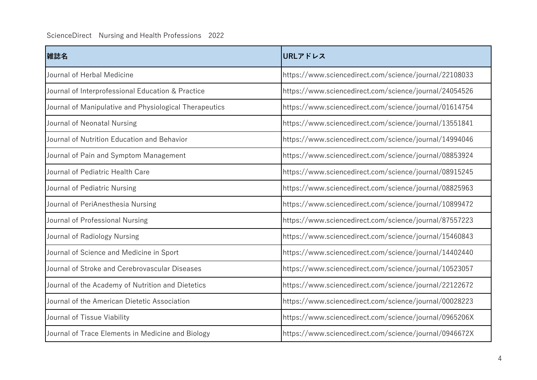| 雑誌名                                                    | URLアドレス                                                |
|--------------------------------------------------------|--------------------------------------------------------|
| Journal of Herbal Medicine                             | https://www.sciencedirect.com/science/journal/22108033 |
| Journal of Interprofessional Education & Practice      | https://www.sciencedirect.com/science/journal/24054526 |
| Journal of Manipulative and Physiological Therapeutics | https://www.sciencedirect.com/science/journal/01614754 |
| Journal of Neonatal Nursing                            | https://www.sciencedirect.com/science/journal/13551841 |
| Journal of Nutrition Education and Behavior            | https://www.sciencedirect.com/science/journal/14994046 |
| Journal of Pain and Symptom Management                 | https://www.sciencedirect.com/science/journal/08853924 |
| Journal of Pediatric Health Care                       | https://www.sciencedirect.com/science/journal/08915245 |
| Journal of Pediatric Nursing                           | https://www.sciencedirect.com/science/journal/08825963 |
| Journal of PeriAnesthesia Nursing                      | https://www.sciencedirect.com/science/journal/10899472 |
| Journal of Professional Nursing                        | https://www.sciencedirect.com/science/journal/87557223 |
| Journal of Radiology Nursing                           | https://www.sciencedirect.com/science/journal/15460843 |
| Journal of Science and Medicine in Sport               | https://www.sciencedirect.com/science/journal/14402440 |
| Journal of Stroke and Cerebrovascular Diseases         | https://www.sciencedirect.com/science/journal/10523057 |
| Journal of the Academy of Nutrition and Dietetics      | https://www.sciencedirect.com/science/journal/22122672 |
| Journal of the American Dietetic Association           | https://www.sciencedirect.com/science/journal/00028223 |
| Journal of Tissue Viability                            | https://www.sciencedirect.com/science/journal/0965206X |
| Journal of Trace Elements in Medicine and Biology      | https://www.sciencedirect.com/science/journal/0946672X |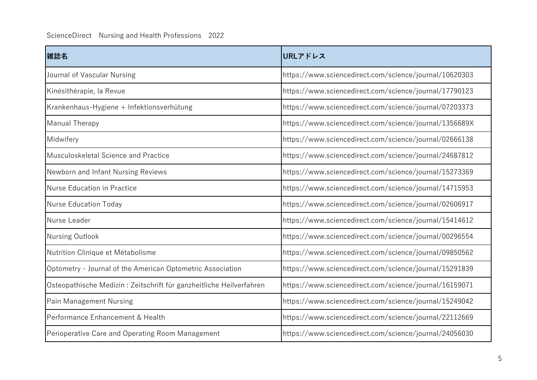| 雑誌名                                                                 | URLアドレス                                                |
|---------------------------------------------------------------------|--------------------------------------------------------|
| Journal of Vascular Nursing                                         | https://www.sciencedirect.com/science/journal/10620303 |
| Kinésithérapie, la Revue                                            | https://www.sciencedirect.com/science/journal/17790123 |
| Krankenhaus-Hygiene + Infektionsverhütung                           | https://www.sciencedirect.com/science/journal/07203373 |
| <b>Manual Therapy</b>                                               | https://www.sciencedirect.com/science/journal/1356689X |
| Midwifery                                                           | https://www.sciencedirect.com/science/journal/02666138 |
| Musculoskeletal Science and Practice                                | https://www.sciencedirect.com/science/journal/24687812 |
| Newborn and Infant Nursing Reviews                                  | https://www.sciencedirect.com/science/journal/15273369 |
| Nurse Education in Practice                                         | https://www.sciencedirect.com/science/journal/14715953 |
| <b>Nurse Education Today</b>                                        | https://www.sciencedirect.com/science/journal/02606917 |
| Nurse Leader                                                        | https://www.sciencedirect.com/science/journal/15414612 |
| Nursing Outlook                                                     | https://www.sciencedirect.com/science/journal/00296554 |
| Nutrition Clinique et Métabolisme                                   | https://www.sciencedirect.com/science/journal/09850562 |
| Optometry - Journal of the American Optometric Association          | https://www.sciencedirect.com/science/journal/15291839 |
| Osteopathische Medizin: Zeitschrift für ganzheitliche Heilverfahren | https://www.sciencedirect.com/science/journal/16159071 |
| <b>Pain Management Nursing</b>                                      | https://www.sciencedirect.com/science/journal/15249042 |
| Performance Enhancement & Health                                    | https://www.sciencedirect.com/science/journal/22112669 |
| Perioperative Care and Operating Room Management                    | https://www.sciencedirect.com/science/journal/24056030 |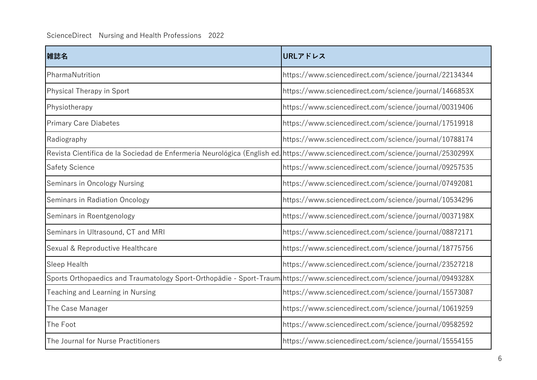| 雑誌名                                                                                                                             | URLアドレス                                                |
|---------------------------------------------------------------------------------------------------------------------------------|--------------------------------------------------------|
| PharmaNutrition                                                                                                                 | https://www.sciencedirect.com/science/journal/22134344 |
| Physical Therapy in Sport                                                                                                       | https://www.sciencedirect.com/science/journal/1466853X |
| Physiotherapy                                                                                                                   | https://www.sciencedirect.com/science/journal/00319406 |
| <b>Primary Care Diabetes</b>                                                                                                    | https://www.sciencedirect.com/science/journal/17519918 |
| Radiography                                                                                                                     | https://www.sciencedirect.com/science/journal/10788174 |
| Revista Científica de la Sociedad de Enfermería Neurológica (English ed. https://www.sciencedirect.com/science/journal/2530299X |                                                        |
| <b>Safety Science</b>                                                                                                           | https://www.sciencedirect.com/science/journal/09257535 |
| Seminars in Oncology Nursing                                                                                                    | https://www.sciencedirect.com/science/journal/07492081 |
| Seminars in Radiation Oncology                                                                                                  | https://www.sciencedirect.com/science/journal/10534296 |
| Seminars in Roentgenology                                                                                                       | https://www.sciencedirect.com/science/journal/0037198X |
| Seminars in Ultrasound, CT and MRI                                                                                              | https://www.sciencedirect.com/science/journal/08872171 |
| Sexual & Reproductive Healthcare                                                                                                | https://www.sciencedirect.com/science/journal/18775756 |
| Sleep Health                                                                                                                    | https://www.sciencedirect.com/science/journal/23527218 |
| Sports Orthopaedics and Traumatology Sport-Orthopädie - Sport-Traum https://www.sciencedirect.com/science/journal/0949328X      |                                                        |
| Teaching and Learning in Nursing                                                                                                | https://www.sciencedirect.com/science/journal/15573087 |
| The Case Manager                                                                                                                | https://www.sciencedirect.com/science/journal/10619259 |
| The Foot                                                                                                                        | https://www.sciencedirect.com/science/journal/09582592 |
| The Journal for Nurse Practitioners                                                                                             | https://www.sciencedirect.com/science/journal/15554155 |